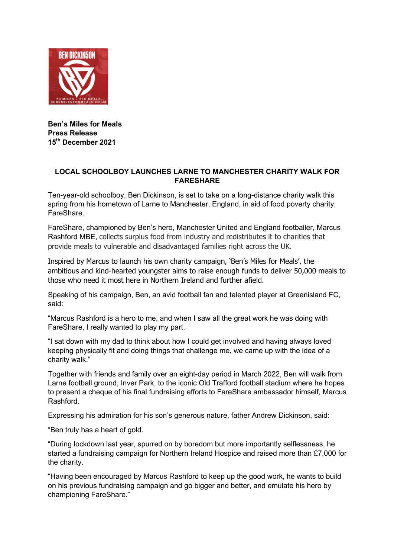

**Ben's Miles for Meals Press Release 15th December 2021**

## **LOCAL SCHOOLBOY LAUNCHES LARNE TO MANCHESTER CHARITY WALK FOR FARESHARE**

Ten-year-old schoolboy, Ben Dickinson, is set to take on a long-distance charity walk this spring from his hometown of Larne to Manchester, England, in aid of food poverty charity, FareShare.

FareShare, championed by Ben's hero, Manchester United and England footballer, Marcus Rashford MBE, collects surplus food from industry and redistributes it to charities that provide meals to vulnerable and disadvantaged families right across the UK.

Inspired by Marcus to launch his own charity campaign, 'Ben's Miles for Meals', the ambitious and kind-hearted youngster aims to raise enough funds to deliver 50,000 meals to those who need it most here in Northern Ireland and further afield.

Speaking of his campaign, Ben, an avid football fan and talented player at Greenisland FC, said:

"Marcus Rashford is a hero to me, and when I saw all the great work he was doing with FareShare, I really wanted to play my part.

"I sat down with my dad to think about how I could get involved and having always loved keeping physically fit and doing things that challenge me, we came up with the idea of a charity walk."

Together with friends and family over an eight-day period in March 2022, Ben will walk from Larne football ground, Inver Park, to the iconic Old Trafford football stadium where he hopes to present a cheque of his final fundraising efforts to FareShare ambassador himself, Marcus Rashford.

Expressing his admiration for his son's generous nature, father Andrew Dickinson, said:

"Ben truly has a heart of gold.

"During lockdown last year, spurred on by boredom but more importantly selflessness, he started a fundraising campaign for Northern Ireland Hospice and raised more than £7,000 for the charity.

"Having been encouraged by Marcus Rashford to keep up the good work, he wants to build on his previous fundraising campaign and go bigger and better, and emulate his hero by championing FareShare."